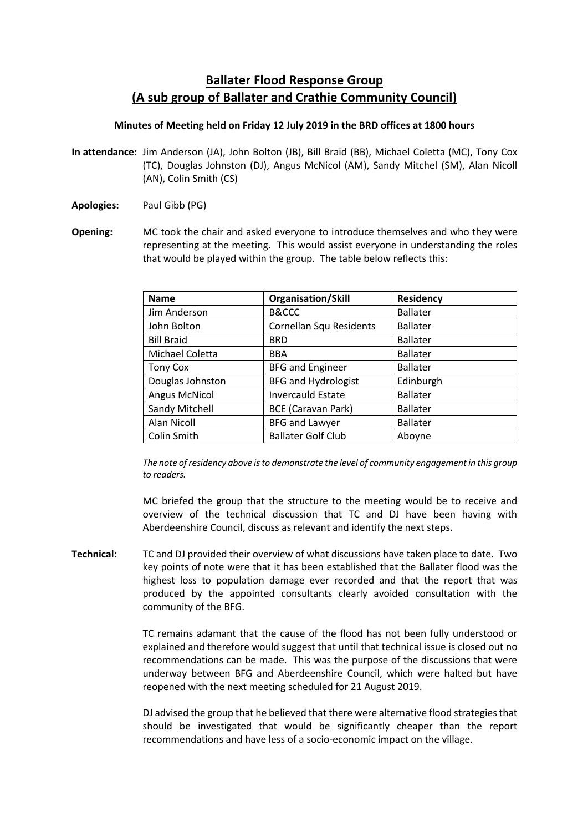# **Ballater Flood Response Group (A sub group of Ballater and Crathie Community Council)**

### **Minutes of Meeting held on Friday 12 July 2019 in the BRD offices at 1800 hours**

- **In attendance:** Jim Anderson (JA), John Bolton (JB), Bill Braid (BB), Michael Coletta (MC), Tony Cox (TC), Douglas Johnston (DJ), Angus McNicol (AM), Sandy Mitchel (SM), Alan Nicoll (AN), Colin Smith (CS)
- **Apologies:** Paul Gibb (PG)
- **Opening:** MC took the chair and asked everyone to introduce themselves and who they were representing at the meeting. This would assist everyone in understanding the roles that would be played within the group. The table below reflects this:

| <b>Name</b>          | <b>Organisation/Skill</b>  | <b>Residency</b> |
|----------------------|----------------------------|------------------|
| Jim Anderson         | <b>B&amp;CCC</b>           | <b>Ballater</b>  |
| John Bolton          | Cornellan Squ Residents    | <b>Ballater</b>  |
| <b>Bill Braid</b>    | <b>BRD</b>                 | <b>Ballater</b>  |
| Michael Coletta      | <b>BBA</b>                 | <b>Ballater</b>  |
| <b>Tony Cox</b>      | <b>BFG and Engineer</b>    | <b>Ballater</b>  |
| Douglas Johnston     | <b>BFG and Hydrologist</b> | Edinburgh        |
| <b>Angus McNicol</b> | <b>Invercauld Estate</b>   | <b>Ballater</b>  |
| Sandy Mitchell       | <b>BCE (Caravan Park)</b>  | <b>Ballater</b>  |
| Alan Nicoll          | <b>BFG and Lawyer</b>      | <b>Ballater</b>  |
| Colin Smith          | <b>Ballater Golf Club</b>  | Aboyne           |

*The note of residency above is to demonstrate the level of community engagement in this group to readers.*

MC briefed the group that the structure to the meeting would be to receive and overview of the technical discussion that TC and DJ have been having with Aberdeenshire Council, discuss as relevant and identify the next steps.

**Technical:** TC and DJ provided their overview of what discussions have taken place to date. Two key points of note were that it has been established that the Ballater flood was the highest loss to population damage ever recorded and that the report that was produced by the appointed consultants clearly avoided consultation with the community of the BFG.

> TC remains adamant that the cause of the flood has not been fully understood or explained and therefore would suggest that until that technical issue is closed out no recommendations can be made. This was the purpose of the discussions that were underway between BFG and Aberdeenshire Council, which were halted but have reopened with the next meeting scheduled for 21 August 2019.

> DJ advised the group that he believed that there were alternative flood strategies that should be investigated that would be significantly cheaper than the report recommendations and have less of a socio-economic impact on the village.